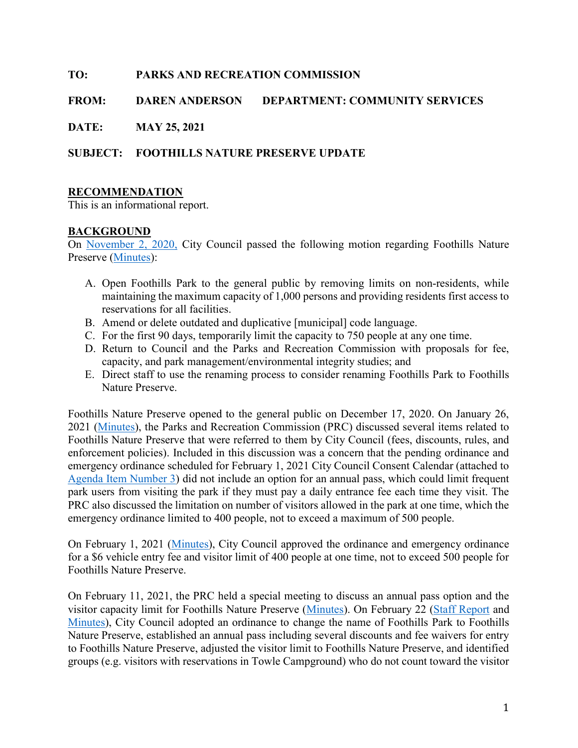## TO: PARKS AND RECREATION COMMISSION

## FROM: DAREN ANDERSON DEPARTMENT: COMMUNITY SERVICES

DATE: MAY 25, 2021

## SUBJECT: FOOTHILLS NATURE PRESERVE UPDATE

## RECOMMENDATION

This is an informational report.

## BACKGROUND

On November 2, 2020, City Council passed the following motion regarding Foothills Nature Preserve (Minutes):

- A. Open Foothills Park to the general public by removing limits on non-residents, while maintaining the maximum capacity of 1,000 persons and providing residents first access to reservations for all facilities.
- B. Amend or delete outdated and duplicative [municipal] code language.
- C. For the first 90 days, temporarily limit the capacity to 750 people at any one time.
- D. Return to Council and the Parks and Recreation Commission with proposals for fee, capacity, and park management/environmental integrity studies; and
- E. Direct staff to use the renaming process to consider renaming Foothills Park to Foothills Nature Preserve.

Foothills Nature Preserve opened to the general public on December 17, 2020. On January 26, 2021 (Minutes), the Parks and Recreation Commission (PRC) discussed several items related to Foothills Nature Preserve that were referred to them by City Council (fees, discounts, rules, and enforcement policies). Included in this discussion was a concern that the pending ordinance and emergency ordinance scheduled for February 1, 2021 City Council Consent Calendar (attached to Agenda Item Number 3) did not include an option for an annual pass, which could limit frequent park users from visiting the park if they must pay a daily entrance fee each time they visit. The PRC also discussed the limitation on number of visitors allowed in the park at one time, which the emergency ordinance limited to 400 people, not to exceed a maximum of 500 people.

On February 1, 2021 (Minutes), City Council approved the ordinance and emergency ordinance for a \$6 vehicle entry fee and visitor limit of 400 people at one time, not to exceed 500 people for Foothills Nature Preserve.

On February 11, 2021, the PRC held a special meeting to discuss an annual pass option and the visitor capacity limit for Foothills Nature Preserve (Minutes). On February 22 (Staff Report and Minutes), City Council adopted an ordinance to change the name of Foothills Park to Foothills Nature Preserve, established an annual pass including several discounts and fee waivers for entry to Foothills Nature Preserve, adjusted the visitor limit to Foothills Nature Preserve, and identified groups (e.g. visitors with reservations in Towle Campground) who do not count toward the visitor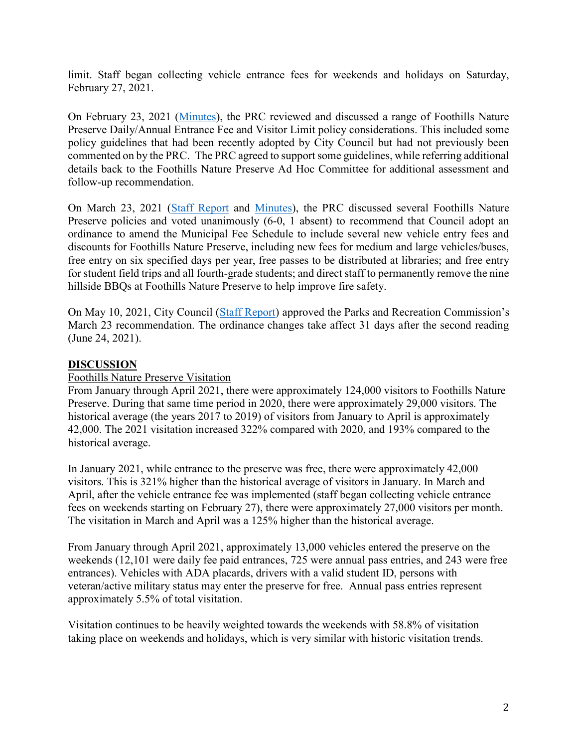limit. Staff began collecting vehicle entrance fees for weekends and holidays on Saturday, February 27, 2021.

On February 23, 2021 (Minutes), the PRC reviewed and discussed a range of Foothills Nature Preserve Daily/Annual Entrance Fee and Visitor Limit policy considerations. This included some policy guidelines that had been recently adopted by City Council but had not previously been commented on by the PRC. The PRC agreed to support some guidelines, while referring additional details back to the Foothills Nature Preserve Ad Hoc Committee for additional assessment and follow-up recommendation.

On March 23, 2021 (Staff Report and Minutes), the PRC discussed several Foothills Nature Preserve policies and voted unanimously (6-0, 1 absent) to recommend that Council adopt an ordinance to amend the Municipal Fee Schedule to include several new vehicle entry fees and discounts for Foothills Nature Preserve, including new fees for medium and large vehicles/buses, free entry on six specified days per year, free passes to be distributed at libraries; and free entry for student field trips and all fourth-grade students; and direct staff to permanently remove the nine hillside BBQs at Foothills Nature Preserve to help improve fire safety.

On May 10, 2021, City Council (Staff Report) approved the Parks and Recreation Commission's March 23 recommendation. The ordinance changes take affect 31 days after the second reading (June 24, 2021).

### DISCUSSION

#### Foothills Nature Preserve Visitation

From January through April 2021, there were approximately 124,000 visitors to Foothills Nature Preserve. During that same time period in 2020, there were approximately 29,000 visitors. The historical average (the years 2017 to 2019) of visitors from January to April is approximately 42,000. The 2021 visitation increased 322% compared with 2020, and 193% compared to the historical average.

In January 2021, while entrance to the preserve was free, there were approximately 42,000 visitors. This is 321% higher than the historical average of visitors in January. In March and April, after the vehicle entrance fee was implemented (staff began collecting vehicle entrance fees on weekends starting on February 27), there were approximately 27,000 visitors per month. The visitation in March and April was a 125% higher than the historical average.

From January through April 2021, approximately 13,000 vehicles entered the preserve on the weekends (12,101 were daily fee paid entrances, 725 were annual pass entries, and 243 were free entrances). Vehicles with ADA placards, drivers with a valid student ID, persons with veteran/active military status may enter the preserve for free. Annual pass entries represent approximately 5.5% of total visitation.

Visitation continues to be heavily weighted towards the weekends with 58.8% of visitation taking place on weekends and holidays, which is very similar with historic visitation trends.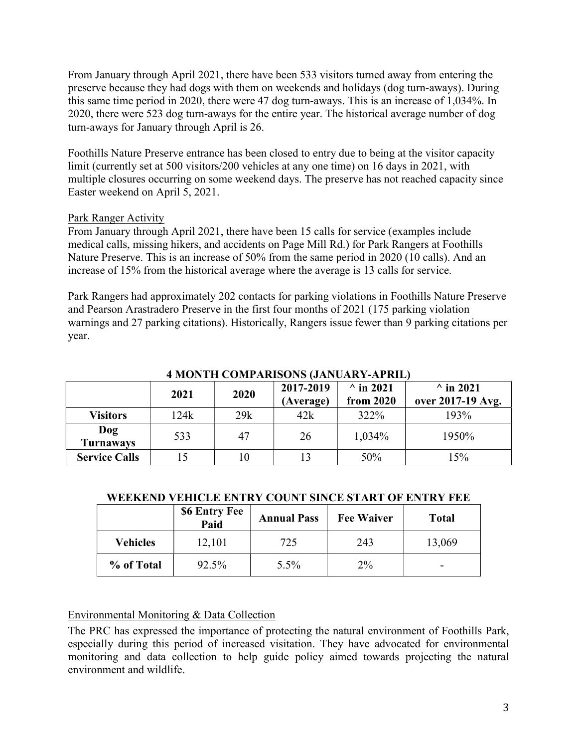From January through April 2021, there have been 533 visitors turned away from entering the preserve because they had dogs with them on weekends and holidays (dog turn-aways). During this same time period in 2020, there were 47 dog turn-aways. This is an increase of 1,034%. In 2020, there were 523 dog turn-aways for the entire year. The historical average number of dog turn-aways for January through April is 26.

Foothills Nature Preserve entrance has been closed to entry due to being at the visitor capacity limit (currently set at 500 visitors/200 vehicles at any one time) on 16 days in 2021, with multiple closures occurring on some weekend days. The preserve has not reached capacity since Easter weekend on April 5, 2021.

## Park Ranger Activity

From January through April 2021, there have been 15 calls for service (examples include medical calls, missing hikers, and accidents on Page Mill Rd.) for Park Rangers at Foothills Nature Preserve. This is an increase of 50% from the same period in 2020 (10 calls). And an increase of 15% from the historical average where the average is 13 calls for service.

Park Rangers had approximately 202 contacts for parking violations in Foothills Nature Preserve and Pearson Arastradero Preserve in the first four months of 2021 (175 parking violation warnings and 27 parking citations). Historically, Rangers issue fewer than 9 parking citations per year.

| <u> 1 MIUNTH CUMH AINBUNS (JANUAN 1-AI INL)</u> |      |      |                        |                               |                                       |  |  |
|-------------------------------------------------|------|------|------------------------|-------------------------------|---------------------------------------|--|--|
|                                                 | 2021 | 2020 | 2017-2019<br>(Average) | $\wedge$ in 2021<br>from 2020 | $\wedge$ in 2021<br>over 2017-19 Avg. |  |  |
| <b>Visitors</b>                                 | 124k | 29k  | 42k                    | 322%                          | 193%                                  |  |  |
| Dog<br><b>Turnaways</b>                         | 533  | 47   | 26                     | 1,034%                        | 1950%                                 |  |  |
| <b>Service Calls</b>                            |      | 10   | 13                     | 50%                           | 15%                                   |  |  |

4 MONTH COMPADISONS (JANUARY-APPIL)

## WEEKEND VEHICLE ENTRY COUNT SINCE START OF ENTRY FEE

|            | <b>\$6 Entry Fee</b><br>Paid | <b>Annual Pass</b> | <b>Fee Waiver</b> | <b>Total</b>             |
|------------|------------------------------|--------------------|-------------------|--------------------------|
| Vehicles   | 12,101                       | 725                | 243               | 13,069                   |
| % of Total | 92.5%                        | $5.5\%$            | $2\%$             | $\overline{\phantom{0}}$ |

# Environmental Monitoring & Data Collection

The PRC has expressed the importance of protecting the natural environment of Foothills Park, especially during this period of increased visitation. They have advocated for environmental monitoring and data collection to help guide policy aimed towards projecting the natural environment and wildlife.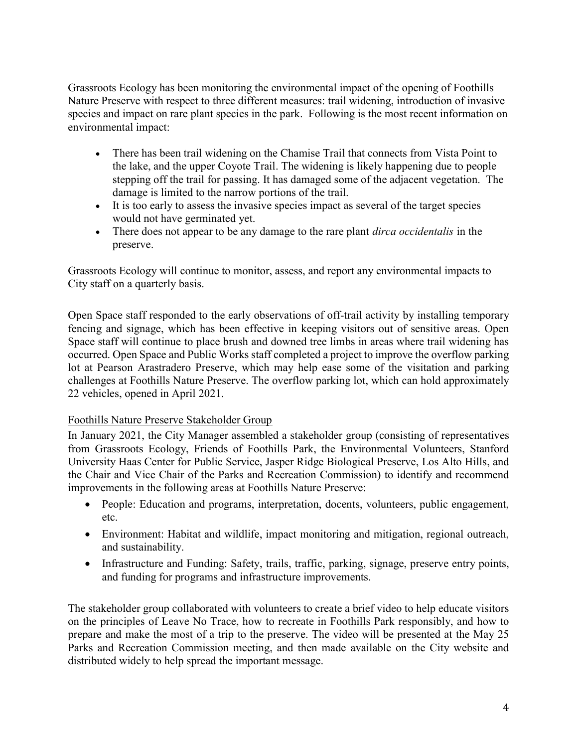Grassroots Ecology has been monitoring the environmental impact of the opening of Foothills Nature Preserve with respect to three different measures: trail widening, introduction of invasive species and impact on rare plant species in the park. Following is the most recent information on environmental impact:

- There has been trail widening on the Chamise Trail that connects from Vista Point to the lake, and the upper Coyote Trail. The widening is likely happening due to people stepping off the trail for passing. It has damaged some of the adjacent vegetation. The damage is limited to the narrow portions of the trail.
- It is too early to assess the invasive species impact as several of the target species would not have germinated yet.
- There does not appear to be any damage to the rare plant *dirca occidentalis* in the preserve.

Grassroots Ecology will continue to monitor, assess, and report any environmental impacts to City staff on a quarterly basis.

Open Space staff responded to the early observations of off-trail activity by installing temporary fencing and signage, which has been effective in keeping visitors out of sensitive areas. Open Space staff will continue to place brush and downed tree limbs in areas where trail widening has occurred. Open Space and Public Works staff completed a project to improve the overflow parking lot at Pearson Arastradero Preserve, which may help ease some of the visitation and parking challenges at Foothills Nature Preserve. The overflow parking lot, which can hold approximately 22 vehicles, opened in April 2021.

## Foothills Nature Preserve Stakeholder Group

In January 2021, the City Manager assembled a stakeholder group (consisting of representatives from Grassroots Ecology, Friends of Foothills Park, the Environmental Volunteers, Stanford University Haas Center for Public Service, Jasper Ridge Biological Preserve, Los Alto Hills, and the Chair and Vice Chair of the Parks and Recreation Commission) to identify and recommend improvements in the following areas at Foothills Nature Preserve:

- People: Education and programs, interpretation, docents, volunteers, public engagement, etc.
- Environment: Habitat and wildlife, impact monitoring and mitigation, regional outreach, and sustainability.
- Infrastructure and Funding: Safety, trails, traffic, parking, signage, preserve entry points, and funding for programs and infrastructure improvements.

The stakeholder group collaborated with volunteers to create a brief video to help educate visitors on the principles of Leave No Trace, how to recreate in Foothills Park responsibly, and how to prepare and make the most of a trip to the preserve. The video will be presented at the May 25 Parks and Recreation Commission meeting, and then made available on the City website and distributed widely to help spread the important message.